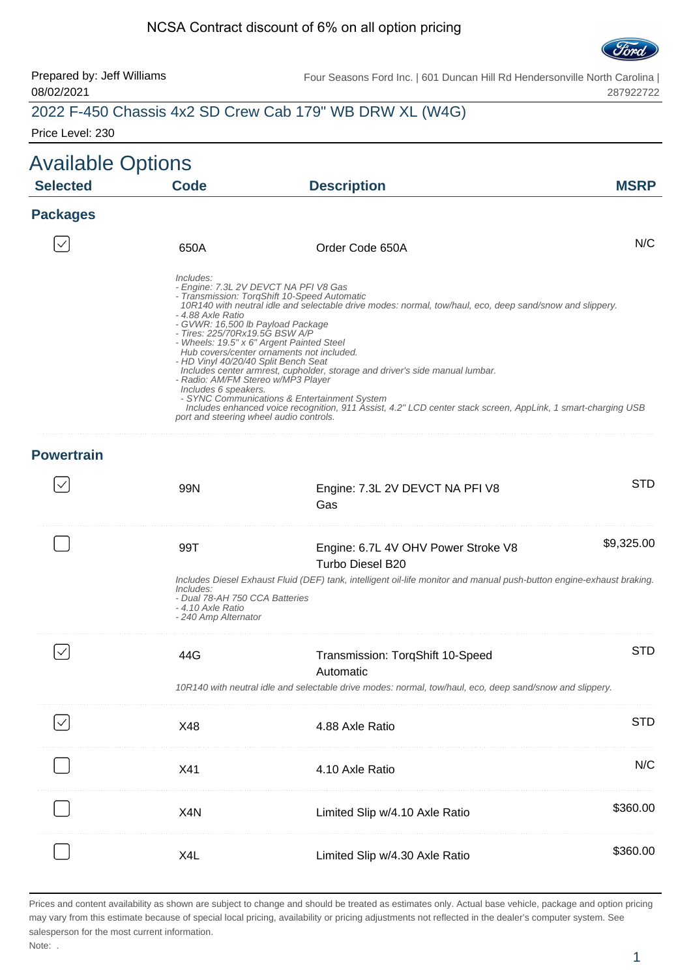#### NCSA Contract discount of 6% on all option pricing



287922722

#### Prepared by: Jeff Williams 08/02/2021 Four Seasons Ford Inc. | 601 Duncan Hill Rd Hendersonville North Carolina | 2022 F-450 Chassis 4x2 SD Crew Cab 179" WB DRW XL (W4G)

Price Level: 230

| <b>Available Options</b> |                                                                                                                                                                                                                                                        |                                                                                                                                                                                                                                                                                                                                                                                                                                                                                                                                             |             |
|--------------------------|--------------------------------------------------------------------------------------------------------------------------------------------------------------------------------------------------------------------------------------------------------|---------------------------------------------------------------------------------------------------------------------------------------------------------------------------------------------------------------------------------------------------------------------------------------------------------------------------------------------------------------------------------------------------------------------------------------------------------------------------------------------------------------------------------------------|-------------|
| <b>Selected</b>          | <b>Code</b>                                                                                                                                                                                                                                            | <b>Description</b>                                                                                                                                                                                                                                                                                                                                                                                                                                                                                                                          | <b>MSRP</b> |
| <b>Packages</b>          |                                                                                                                                                                                                                                                        |                                                                                                                                                                                                                                                                                                                                                                                                                                                                                                                                             |             |
|                          | 650A                                                                                                                                                                                                                                                   | Order Code 650A                                                                                                                                                                                                                                                                                                                                                                                                                                                                                                                             | N/C         |
|                          | Includes:<br>- 4.88 Axle Ratio<br>- GVWR: 16,500 lb Payload Package<br>- Tires: 225/70Rx19.5G BSW A/P<br>- HD Vinyl 40/20/40 Split Bench Seat<br>- Radio: AM/FM Stereo w/MP3 Player<br>Includes 6 speakers.<br>port and steering wheel audio controls. | - Engine: 7.3L 2V DEVCT NA PFI V8 Gas<br>- Transmission: TorqShift 10-Speed Automatic<br>10R140 with neutral idle and selectable drive modes: normal, tow/haul, eco, deep sand/snow and slippery.<br>- Wheels: 19.5" x 6" Argent Painted Steel<br>Hub covers/center ornaments not included.<br>Includes center armrest, cupholder, storage and driver's side manual lumbar.<br>- SYNC Communications & Entertainment System<br>Includes enhanced voice recognition, 911 Ássist, 4.2" LCD center stack screen, AppLink, 1 smart-charging USB |             |
| <b>Powertrain</b>        |                                                                                                                                                                                                                                                        |                                                                                                                                                                                                                                                                                                                                                                                                                                                                                                                                             |             |
|                          | 99N                                                                                                                                                                                                                                                    | Engine: 7.3L 2V DEVCT NA PFI V8<br>Gas                                                                                                                                                                                                                                                                                                                                                                                                                                                                                                      | <b>STD</b>  |
|                          | 99T                                                                                                                                                                                                                                                    | Engine: 6.7L 4V OHV Power Stroke V8<br>Turbo Diesel B20                                                                                                                                                                                                                                                                                                                                                                                                                                                                                     | \$9,325.00  |
|                          | Includes:<br>- Dual 78-AH 750 CCA Batteries<br>- 4.10 Axle Ratio<br>- 240 Amp Alternator                                                                                                                                                               | Includes Diesel Exhaust Fluid (DEF) tank, intelligent oil-life monitor and manual push-button engine-exhaust braking.                                                                                                                                                                                                                                                                                                                                                                                                                       |             |
|                          | 44G                                                                                                                                                                                                                                                    | Transmission: TorqShift 10-Speed<br>Automatic                                                                                                                                                                                                                                                                                                                                                                                                                                                                                               | <b>STD</b>  |
|                          |                                                                                                                                                                                                                                                        | 10R140 with neutral idle and selectable drive modes: normal, tow/haul, eco, deep sand/snow and slippery.                                                                                                                                                                                                                                                                                                                                                                                                                                    |             |
| $\checkmark$             | X48                                                                                                                                                                                                                                                    | 4.88 Axle Ratio                                                                                                                                                                                                                                                                                                                                                                                                                                                                                                                             | <b>STD</b>  |
|                          | X41                                                                                                                                                                                                                                                    | 4.10 Axle Ratio                                                                                                                                                                                                                                                                                                                                                                                                                                                                                                                             | N/C         |
|                          | X <sub>4</sub> N                                                                                                                                                                                                                                       | Limited Slip w/4.10 Axle Ratio                                                                                                                                                                                                                                                                                                                                                                                                                                                                                                              | \$360.00    |
|                          | X4L                                                                                                                                                                                                                                                    | Limited Slip w/4.30 Axle Ratio                                                                                                                                                                                                                                                                                                                                                                                                                                                                                                              | \$360.00    |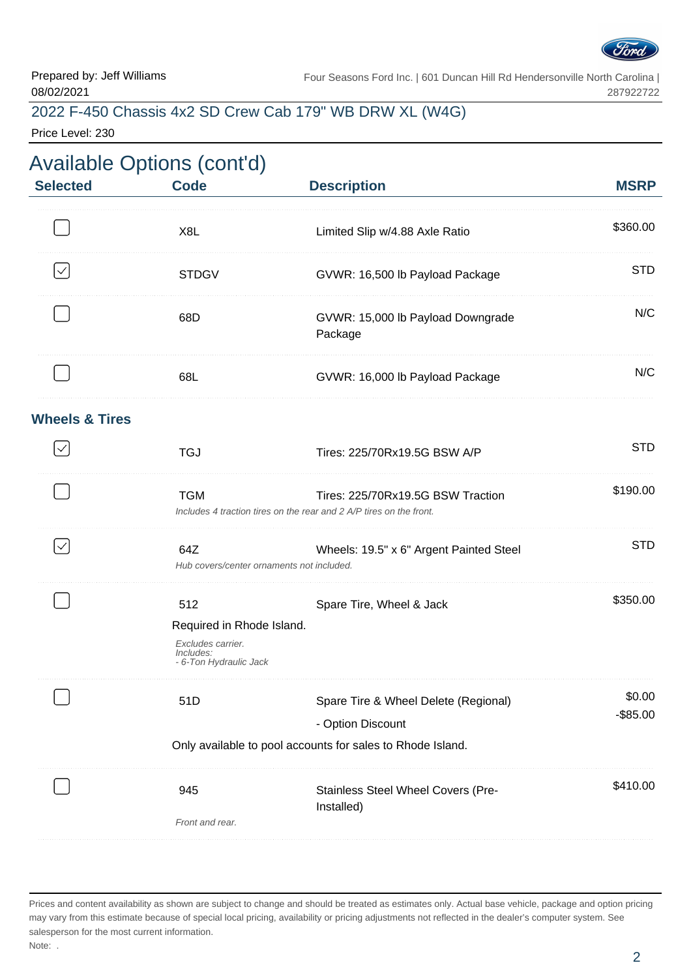

### 2022 F-450 Chassis 4x2 SD Crew Cab 179" WB DRW XL (W4G)

Price Level: 230

| <b>Selected</b>           | <b>Code</b>                                                                                  | <b>Description</b>                                                                                       | <b>MSRP</b>           |
|---------------------------|----------------------------------------------------------------------------------------------|----------------------------------------------------------------------------------------------------------|-----------------------|
|                           | X8L                                                                                          | Limited Slip w/4.88 Axle Ratio                                                                           | \$360.00              |
|                           | <b>STDGV</b>                                                                                 | GVWR: 16,500 lb Payload Package                                                                          | <b>STD</b>            |
|                           | 68D                                                                                          | GVWR: 15,000 lb Payload Downgrade<br>Package                                                             | N/C                   |
|                           | 68L                                                                                          | GVWR: 16,000 lb Payload Package                                                                          | N/C                   |
| <b>Wheels &amp; Tires</b> |                                                                                              |                                                                                                          |                       |
|                           | <b>TGJ</b>                                                                                   | Tires: 225/70Rx19.5G BSW A/P                                                                             | <b>STD</b>            |
|                           | <b>TGM</b>                                                                                   | Tires: 225/70Rx19.5G BSW Traction<br>Includes 4 traction tires on the rear and 2 A/P tires on the front. | \$190.00              |
| $\checkmark$              | 64Z<br>Hub covers/center ornaments not included.                                             | Wheels: 19.5" x 6" Argent Painted Steel                                                                  | <b>STD</b>            |
|                           | 512<br>Required in Rhode Island.<br>Excludes carrier.<br>Includes:<br>- 6-Ton Hydraulic Jack | Spare Tire, Wheel & Jack                                                                                 | \$350.00              |
|                           | 51D                                                                                          | Spare Tire & Wheel Delete (Regional)<br>- Option Discount                                                | \$0.00<br>$-$ \$85.00 |
|                           |                                                                                              | Only available to pool accounts for sales to Rhode Island.                                               |                       |
|                           | 945<br>Front and rear.                                                                       | Stainless Steel Wheel Covers (Pre-<br>Installed)                                                         | \$410.00              |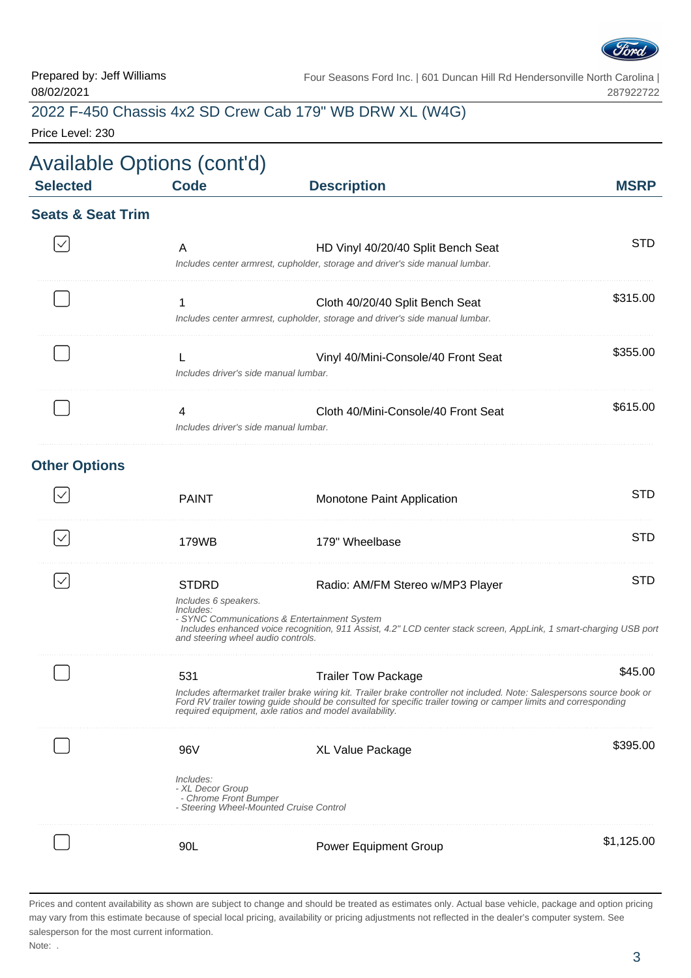

## 2022 F-450 Chassis 4x2 SD Crew Cab 179" WB DRW XL (W4G)

Price Level: 230

| <b>Available Options (cont'd)</b><br><b>Selected</b> | <b>Code</b>                                | <b>Description</b>                                                                                                 | <b>MSRP</b> |
|------------------------------------------------------|--------------------------------------------|--------------------------------------------------------------------------------------------------------------------|-------------|
| <b>Seats &amp; Seat Trim</b>                         |                                            |                                                                                                                    |             |
|                                                      | A                                          | HD Vinyl 40/20/40 Split Bench Seat<br>Includes center armrest, cupholder, storage and driver's side manual lumbar. | <b>STD</b>  |
|                                                      | 1                                          | Cloth 40/20/40 Split Bench Seat<br>Includes center armrest, cupholder, storage and driver's side manual lumbar.    | \$315.00    |
|                                                      | Includes driver's side manual lumbar.      | Vinyl 40/Mini-Console/40 Front Seat                                                                                | \$355.00    |
|                                                      | 4<br>Includes driver's side manual lumbar. | Cloth 40/Mini-Console/40 Front Seat                                                                                | \$615.00    |
| <b>Other Options</b>                                 |                                            |                                                                                                                    |             |
|                                                      | <b>PAINT</b>                               | Monotone Paint Application                                                                                         | <b>STD</b>  |
|                                                      | 179WB                                      | 179" Wheelbase                                                                                                     | STD         |

| <b>STDRD</b><br>Includes 6 speakers.<br>Includes<br>- SYNC Communications & Entertainment System<br>and steering wheel audio controls. | Radio: AM/FM Stereo w/MP3 Player<br>Includes enhanced voice recognition, 911 Ássist, 4.2" LCD center stack screen, AppLink, 1 smart-charging USB port                                                                                                           | <b>STD</b> |
|----------------------------------------------------------------------------------------------------------------------------------------|-----------------------------------------------------------------------------------------------------------------------------------------------------------------------------------------------------------------------------------------------------------------|------------|
| 531<br>required equipment, axle ratios and model availability.                                                                         | <b>Trailer Tow Package</b><br>Includes aftermarket trailer brake wiring kit. Trailer brake controller not included. Note: Salespersons source book or<br>Ford RV trailer towing guide should be consulted for specific trailer towing or camper limits and corr | \$45.00    |
| 96V<br>Includes:<br>- XL Decor Group<br>- Chrome Front Bumper<br>- Steering Wheel-Mounted Cruise Control                               | XL Value Package                                                                                                                                                                                                                                                | \$395.00   |
| 90L                                                                                                                                    | <b>Power Equipment Group</b>                                                                                                                                                                                                                                    | \$1.125.00 |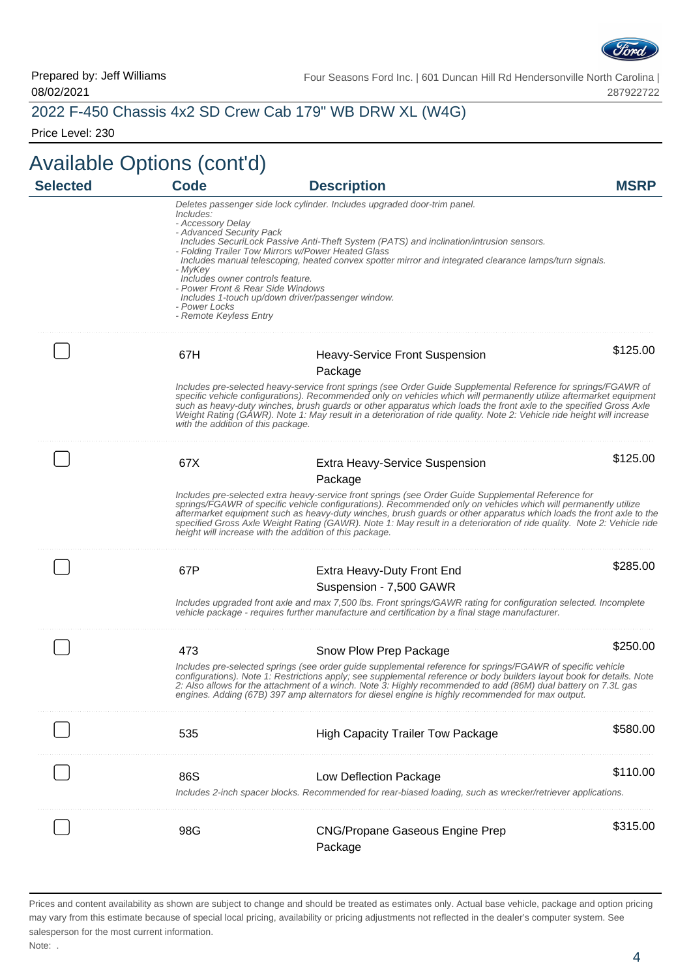

## 2022 F-450 Chassis 4x2 SD Crew Cab 179" WB DRW XL (W4G)

Price Level: 230

| <b>Selected</b> | <b>Code</b>                                                                                                                                                                               | <b>Description</b>                                                                                                                                                                                                                                                                                                                                                                                                                                                                                                                | <b>MSRP</b> |
|-----------------|-------------------------------------------------------------------------------------------------------------------------------------------------------------------------------------------|-----------------------------------------------------------------------------------------------------------------------------------------------------------------------------------------------------------------------------------------------------------------------------------------------------------------------------------------------------------------------------------------------------------------------------------------------------------------------------------------------------------------------------------|-------------|
|                 | Includes:<br>- Accessory Delay<br>- Advanced Security Pack<br>- MyKey<br>Includes owner controls feature.<br>- Power Front & Rear Side Windows<br>- Power Locks<br>- Remote Keyless Entry | Deletes passenger side lock cylinder. Includes upgraded door-trim panel.<br>Includes SecuriLock Passive Anti-Theft System (PATS) and inclination/intrusion sensors.<br>- Folding Trailer Tow Mirrors w/Power Heated Glass<br>Includes manual telescoping, heated convex spotter mirror and integrated clearance lamps/turn signals.<br>Includes 1-touch up/down driver/passenger window.                                                                                                                                          |             |
|                 | 67H                                                                                                                                                                                       | <b>Heavy-Service Front Suspension</b>                                                                                                                                                                                                                                                                                                                                                                                                                                                                                             | \$125.00    |
|                 | with the addition of this package.                                                                                                                                                        | Package<br>Includes pre-selected heavy-service front springs (see Order Guide Supplemental Reference for springs/FGAWR of<br>specific vehicle configurations). Recommended only on vehicles which will permanently utilize aftermarket equipment<br>such as heavy-duty winches, brush guards or other apparatus which loads the front axle to the specified Gross Axle<br>Weight Rating (GAWR). Note 1: May result in a deterioration of ride quality. Note 2: Vehicle ride height will increase                                  |             |
|                 | 67X                                                                                                                                                                                       | <b>Extra Heavy-Service Suspension</b><br>Package                                                                                                                                                                                                                                                                                                                                                                                                                                                                                  | \$125.00    |
|                 |                                                                                                                                                                                           | Includes pre-selected extra heavy-service front springs (see Order Guide Supplemental Reference for<br>springs/FGAWR of specific vehicle configurations). Recommended only on vehicles which will permanently utilize<br>aftermarket equipment such as heavy-duty winches, brush guards or other apparatus which loads the front axle to the<br>specified Gross Axle Weight Rating (GAWR). Note 1: May result in a deterioration of ride quality. Note 2: Vehicle ride<br>height will increase with the addition of this package. |             |
|                 | 67P                                                                                                                                                                                       | Extra Heavy-Duty Front End<br>Suspension - 7,500 GAWR                                                                                                                                                                                                                                                                                                                                                                                                                                                                             | \$285.00    |
|                 |                                                                                                                                                                                           | Includes upgraded front axle and max 7,500 lbs. Front springs/GAWR rating for configuration selected. Incomplete<br>vehicle package - requires further manufacture and certification by a final stage manufacturer.                                                                                                                                                                                                                                                                                                               |             |
|                 | 473                                                                                                                                                                                       | Snow Plow Prep Package                                                                                                                                                                                                                                                                                                                                                                                                                                                                                                            | \$250.00    |
|                 |                                                                                                                                                                                           | Includes pre-selected springs (see order guide supplemental reference for springs/FGAWR of specific vehicle<br>configurations). Note 1: Restrictions apply; see supplemental reference or body builders layout book for details. Note<br>2: Also allows for the attachment of a winch. Note 3: Highly recommended to add (86M) dual battery on 7.3L gas<br>engines. Adding (67B) 397 amp alternators for diesel engine is highly recommended for max output.                                                                      |             |
|                 | 535                                                                                                                                                                                       | <b>High Capacity Trailer Tow Package</b>                                                                                                                                                                                                                                                                                                                                                                                                                                                                                          | \$580.00    |
|                 | 86S                                                                                                                                                                                       | Low Deflection Package<br>Includes 2-inch spacer blocks. Recommended for rear-biased loading, such as wrecker/retriever applications.                                                                                                                                                                                                                                                                                                                                                                                             | \$110.00    |
|                 | 98G                                                                                                                                                                                       | <b>CNG/Propane Gaseous Engine Prep</b><br>Package                                                                                                                                                                                                                                                                                                                                                                                                                                                                                 | \$315.00    |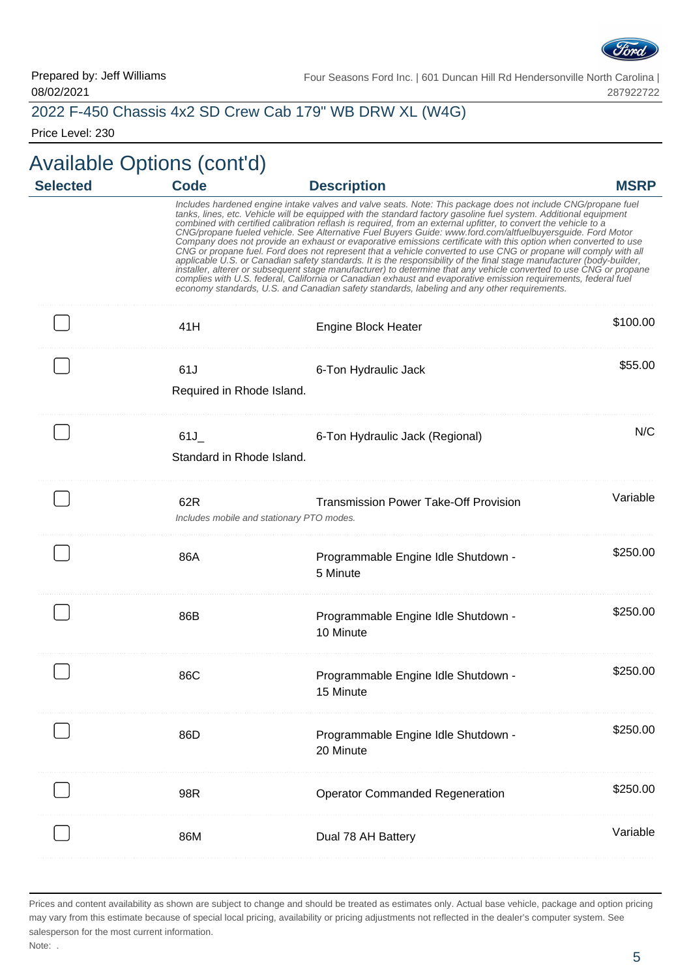

#### 2022 F-450 Chassis 4x2 SD Crew Cab 179" WB DRW XL (W4G)

Price Level: 230

# Available Options (cont'd)

| <b>Selected</b> | <b>Code</b>                      | <b>Description</b>                                                                                                                                                                                                                                                                                                                                                                                                                                                                                                                                                                                                                                                                                                                                                                                                                                                                                                                                                                                                                                                                                                                                                       | <b>MSRP</b> |
|-----------------|----------------------------------|--------------------------------------------------------------------------------------------------------------------------------------------------------------------------------------------------------------------------------------------------------------------------------------------------------------------------------------------------------------------------------------------------------------------------------------------------------------------------------------------------------------------------------------------------------------------------------------------------------------------------------------------------------------------------------------------------------------------------------------------------------------------------------------------------------------------------------------------------------------------------------------------------------------------------------------------------------------------------------------------------------------------------------------------------------------------------------------------------------------------------------------------------------------------------|-------------|
|                 |                                  | Includes hardened engine intake valves and valve seats. Note: This package does not include CNG/propane fuel<br>tanks, lines, etc. Vehicle will be equipped with the standard factory gasoline fuel system. Additional equipment<br>combined with certified calibration reflash is required, from an external upfitter, to convert the vehicle to a<br>CNG/propane fueled vehicle. See Alternative Fuel Buyers Guide: www.ford.com/altfuelbuyersguide. Ford Motor<br>Company does not provide an exhaust or evaporative emissions certificate with this option when converted to use<br>CNG or propane fuel. Ford does not represent that a vehicle converted to use CNG or propane will comply with all<br>applicable U.S. or Canadian safety standards. It is the responsibility of the final stage manufacturer (body-builder,<br>installer, alterer or subsequent stage manufacturer) to determine that any vehicle converted to use CNG or propane<br>complies with U.S. federal, California or Canadian exhaust and evaporative emission requirements, federal fuel<br>economy standards, U.S. and Canadian safety standards, labeling and any other requirements. |             |
|                 | 41H                              | <b>Engine Block Heater</b>                                                                                                                                                                                                                                                                                                                                                                                                                                                                                                                                                                                                                                                                                                                                                                                                                                                                                                                                                                                                                                                                                                                                               | \$100.00    |
|                 | 61J<br>Required in Rhode Island. | 6-Ton Hydraulic Jack                                                                                                                                                                                                                                                                                                                                                                                                                                                                                                                                                                                                                                                                                                                                                                                                                                                                                                                                                                                                                                                                                                                                                     | \$55.00     |
|                 | 61J<br>Standard in Rhode Island. | 6-Ton Hydraulic Jack (Regional)                                                                                                                                                                                                                                                                                                                                                                                                                                                                                                                                                                                                                                                                                                                                                                                                                                                                                                                                                                                                                                                                                                                                          | N/C         |
|                 | 62R                              | <b>Transmission Power Take-Off Provision</b><br>Includes mobile and stationary PTO modes.                                                                                                                                                                                                                                                                                                                                                                                                                                                                                                                                                                                                                                                                                                                                                                                                                                                                                                                                                                                                                                                                                | Variable    |
|                 | 86A                              | Programmable Engine Idle Shutdown -<br>5 Minute                                                                                                                                                                                                                                                                                                                                                                                                                                                                                                                                                                                                                                                                                                                                                                                                                                                                                                                                                                                                                                                                                                                          | \$250.00    |
|                 | 86B                              | Programmable Engine Idle Shutdown -<br>10 Minute                                                                                                                                                                                                                                                                                                                                                                                                                                                                                                                                                                                                                                                                                                                                                                                                                                                                                                                                                                                                                                                                                                                         | \$250.00    |
|                 | 86C                              | Programmable Engine Idle Shutdown -<br>15 Minute                                                                                                                                                                                                                                                                                                                                                                                                                                                                                                                                                                                                                                                                                                                                                                                                                                                                                                                                                                                                                                                                                                                         | \$250.00    |
|                 | 86D                              | Programmable Engine Idle Shutdown -<br>20 Minute                                                                                                                                                                                                                                                                                                                                                                                                                                                                                                                                                                                                                                                                                                                                                                                                                                                                                                                                                                                                                                                                                                                         | \$250.00    |
|                 | 98R                              | <b>Operator Commanded Regeneration</b>                                                                                                                                                                                                                                                                                                                                                                                                                                                                                                                                                                                                                                                                                                                                                                                                                                                                                                                                                                                                                                                                                                                                   | \$250.00    |
|                 | 86M                              | Dual 78 AH Battery                                                                                                                                                                                                                                                                                                                                                                                                                                                                                                                                                                                                                                                                                                                                                                                                                                                                                                                                                                                                                                                                                                                                                       | Variable    |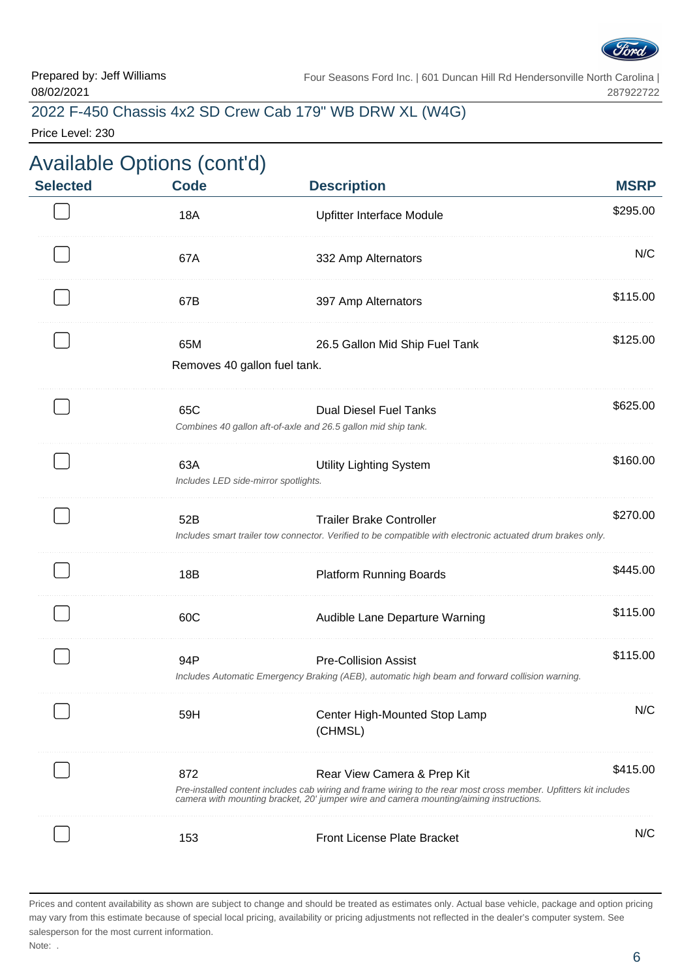

### 2022 F-450 Chassis 4x2 SD Crew Cab 179" WB DRW XL (W4G)

Price Level: 230

| <b>Selected</b> | <b>Code</b>                                 | <b>Description</b>                                                                                                                                                                                                                        | <b>MSRP</b> |
|-----------------|---------------------------------------------|-------------------------------------------------------------------------------------------------------------------------------------------------------------------------------------------------------------------------------------------|-------------|
|                 | <b>18A</b>                                  | Upfitter Interface Module                                                                                                                                                                                                                 | \$295.00    |
|                 | 67A                                         | 332 Amp Alternators                                                                                                                                                                                                                       | N/C         |
|                 | 67B                                         | 397 Amp Alternators                                                                                                                                                                                                                       | \$115.00    |
|                 | 65M<br>Removes 40 gallon fuel tank.         | 26.5 Gallon Mid Ship Fuel Tank                                                                                                                                                                                                            | \$125.00    |
|                 | 65C                                         | <b>Dual Diesel Fuel Tanks</b><br>Combines 40 gallon aft-of-axle and 26.5 gallon mid ship tank.                                                                                                                                            | \$625.00    |
|                 | 63A<br>Includes LED side-mirror spotlights. | <b>Utility Lighting System</b>                                                                                                                                                                                                            | \$160.00    |
|                 | 52B                                         | <b>Trailer Brake Controller</b><br>Includes smart trailer tow connector. Verified to be compatible with electronic actuated drum brakes only.                                                                                             | \$270.00    |
|                 | 18B                                         | <b>Platform Running Boards</b>                                                                                                                                                                                                            | \$445.00    |
|                 | 60C                                         | Audible Lane Departure Warning                                                                                                                                                                                                            | \$115.00    |
|                 | 94P                                         | <b>Pre-Collision Assist</b><br>Includes Automatic Emergency Braking (AEB), automatic high beam and forward collision warning.                                                                                                             | \$115.00    |
|                 | 59H                                         | Center High-Mounted Stop Lamp<br>(CHMSL)                                                                                                                                                                                                  | N/C         |
|                 | 872                                         | Rear View Camera & Prep Kit<br>Pre-installed content includes cab wiring and frame wiring to the rear most cross member. Upfitters kit includes<br>camera with mounting bracket, 20' jumper wire and camera mounting/aiming instructions. | \$415.00    |
|                 | 153                                         | Front License Plate Bracket                                                                                                                                                                                                               | N/C         |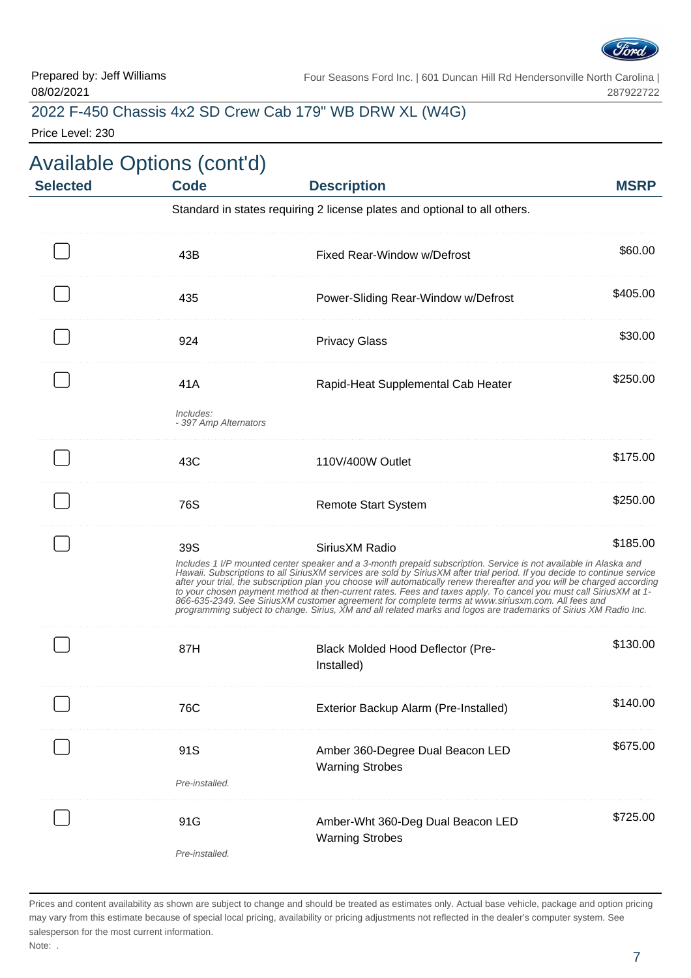

## 2022 F-450 Chassis 4x2 SD Crew Cab 179" WB DRW XL (W4G)

Price Level: 230

| <b>Selected</b> | <b>Available Options (cont'd)</b><br><b>Code</b> | <b>Description</b>                                                                                                                                                                                                                                                                                                                                                                                                                                                                                                                                                                                                                                                                                                                          | <b>MSRP</b> |
|-----------------|--------------------------------------------------|---------------------------------------------------------------------------------------------------------------------------------------------------------------------------------------------------------------------------------------------------------------------------------------------------------------------------------------------------------------------------------------------------------------------------------------------------------------------------------------------------------------------------------------------------------------------------------------------------------------------------------------------------------------------------------------------------------------------------------------------|-------------|
|                 |                                                  | Standard in states requiring 2 license plates and optional to all others.                                                                                                                                                                                                                                                                                                                                                                                                                                                                                                                                                                                                                                                                   |             |
|                 | 43B                                              | Fixed Rear-Window w/Defrost                                                                                                                                                                                                                                                                                                                                                                                                                                                                                                                                                                                                                                                                                                                 | \$60.00     |
|                 | 435                                              | Power-Sliding Rear-Window w/Defrost                                                                                                                                                                                                                                                                                                                                                                                                                                                                                                                                                                                                                                                                                                         | \$405.00    |
|                 | 924                                              | <b>Privacy Glass</b>                                                                                                                                                                                                                                                                                                                                                                                                                                                                                                                                                                                                                                                                                                                        | \$30.00     |
|                 | 41A                                              | Rapid-Heat Supplemental Cab Heater                                                                                                                                                                                                                                                                                                                                                                                                                                                                                                                                                                                                                                                                                                          | \$250.00    |
|                 | Includes:<br>- 397 Amp Alternators               |                                                                                                                                                                                                                                                                                                                                                                                                                                                                                                                                                                                                                                                                                                                                             |             |
|                 | 43C                                              | 110V/400W Outlet                                                                                                                                                                                                                                                                                                                                                                                                                                                                                                                                                                                                                                                                                                                            | \$175.00    |
|                 | 76S                                              | <b>Remote Start System</b>                                                                                                                                                                                                                                                                                                                                                                                                                                                                                                                                                                                                                                                                                                                  | \$250.00    |
|                 | 39S                                              | Sirius XM Radio<br>Includes 1 I/P mounted center speaker and a 3-month prepaid subscription. Service is not available in Alaska and<br>Hawaii. Subscriptions to all SiriusXM services are sold by SiriusXM after trial period. If you decide to continue service<br>after your trial, the subscription plan you choose will automatically renew thereafter and you will be charged according<br>to your chosen payment method at then-current rates. Fees and taxes apply. To cancel you must call SiriusXM at 1-<br>866-635-2349. See SiriusXM customer agreement for complete terms at www.siriusxm.com. All fees and<br>programming subject to change. Sirius, XM and all related marks and logos are trademarks of Sirius XM Radio Inc. | \$185.00    |
|                 | 87H                                              | <b>Black Molded Hood Deflector (Pre-</b><br>Installed)                                                                                                                                                                                                                                                                                                                                                                                                                                                                                                                                                                                                                                                                                      | \$130.00    |
|                 | 76C                                              | Exterior Backup Alarm (Pre-Installed)                                                                                                                                                                                                                                                                                                                                                                                                                                                                                                                                                                                                                                                                                                       | \$140.00    |
|                 | 91S<br>Pre-installed.                            | Amber 360-Degree Dual Beacon LED<br><b>Warning Strobes</b>                                                                                                                                                                                                                                                                                                                                                                                                                                                                                                                                                                                                                                                                                  | \$675.00    |
|                 | 91G<br>Pre-installed.                            | Amber-Wht 360-Deg Dual Beacon LED<br><b>Warning Strobes</b>                                                                                                                                                                                                                                                                                                                                                                                                                                                                                                                                                                                                                                                                                 | \$725.00    |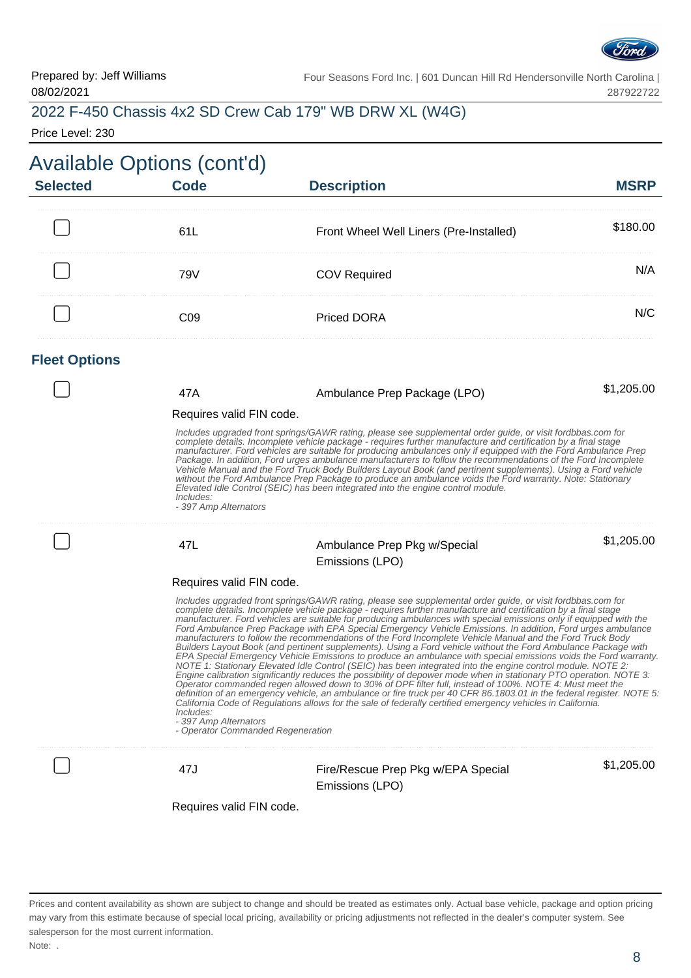

### 2022 F-450 Chassis 4x2 SD Crew Cab 179" WB DRW XL (W4G)

Price Level: 230

| <b>Available Options (cont'd)</b><br><b>Selected</b> | <b>Code</b>                                                                                         | <b>Description</b>                                                                                                                                                                                                                                                                                                                                                                                                                                                                                                                                                                                                                                                                                                                                                                                                                                                                                                                                                                                                                                                                                                                                                                                                                                                                                                                                                                                           | <b>MSRP</b> |
|------------------------------------------------------|-----------------------------------------------------------------------------------------------------|--------------------------------------------------------------------------------------------------------------------------------------------------------------------------------------------------------------------------------------------------------------------------------------------------------------------------------------------------------------------------------------------------------------------------------------------------------------------------------------------------------------------------------------------------------------------------------------------------------------------------------------------------------------------------------------------------------------------------------------------------------------------------------------------------------------------------------------------------------------------------------------------------------------------------------------------------------------------------------------------------------------------------------------------------------------------------------------------------------------------------------------------------------------------------------------------------------------------------------------------------------------------------------------------------------------------------------------------------------------------------------------------------------------|-------------|
|                                                      | 61L                                                                                                 | Front Wheel Well Liners (Pre-Installed)                                                                                                                                                                                                                                                                                                                                                                                                                                                                                                                                                                                                                                                                                                                                                                                                                                                                                                                                                                                                                                                                                                                                                                                                                                                                                                                                                                      | \$180.00    |
|                                                      | 79V                                                                                                 | <b>COV Required</b>                                                                                                                                                                                                                                                                                                                                                                                                                                                                                                                                                                                                                                                                                                                                                                                                                                                                                                                                                                                                                                                                                                                                                                                                                                                                                                                                                                                          | N/A         |
|                                                      | CO9                                                                                                 | <b>Priced DORA</b>                                                                                                                                                                                                                                                                                                                                                                                                                                                                                                                                                                                                                                                                                                                                                                                                                                                                                                                                                                                                                                                                                                                                                                                                                                                                                                                                                                                           | N/C         |
| <b>Fleet Options</b>                                 |                                                                                                     |                                                                                                                                                                                                                                                                                                                                                                                                                                                                                                                                                                                                                                                                                                                                                                                                                                                                                                                                                                                                                                                                                                                                                                                                                                                                                                                                                                                                              |             |
|                                                      | 47A<br>Requires valid FIN code.                                                                     | Ambulance Prep Package (LPO)                                                                                                                                                                                                                                                                                                                                                                                                                                                                                                                                                                                                                                                                                                                                                                                                                                                                                                                                                                                                                                                                                                                                                                                                                                                                                                                                                                                 | \$1,205.00  |
|                                                      | Includes:<br>- 397 Amp Alternators                                                                  | Includes upgraded front springs/GAWR rating, please see supplemental order guide, or visit fordbbas.com for<br>complete details. Incomplete vehicle package - requires further manufacture and certification by a final stage<br>manufacturer. Ford vehicles are suitable for producing ambulances only if equipped with the Ford Ambulance Prep<br>Package. In addition, Ford urges ambulance manufacturers to follow the recommendations of the Ford Incomplete<br>Vehicle Manual and the Ford Truck Body Builders Layout Book (and pertinent supplements). Using a Ford vehicle<br>without the Ford Ambulance Prep Package to produce an ambulance voids the Ford warranty. Note: Stationary<br>Elevated Idle Control (SEIC) has been integrated into the engine control module.                                                                                                                                                                                                                                                                                                                                                                                                                                                                                                                                                                                                                          |             |
|                                                      | 47L                                                                                                 | Ambulance Prep Pkg w/Special                                                                                                                                                                                                                                                                                                                                                                                                                                                                                                                                                                                                                                                                                                                                                                                                                                                                                                                                                                                                                                                                                                                                                                                                                                                                                                                                                                                 | \$1,205.00  |
|                                                      |                                                                                                     | Emissions (LPO)                                                                                                                                                                                                                                                                                                                                                                                                                                                                                                                                                                                                                                                                                                                                                                                                                                                                                                                                                                                                                                                                                                                                                                                                                                                                                                                                                                                              |             |
|                                                      | Requires valid FIN code.<br>Includes:<br>- 397 Amp Alternators<br>- Operator Commanded Regeneration | Includes upgraded front springs/GAWR rating, please see supplemental order guide, or visit fordbbas.com for<br>complete details. Incomplete vehicle package - requires further manufacture and certification by a final stage<br>manufacturer. Ford vehicles are suitable for producing ambulances with special emissions only if equipped with the<br>Ford Ambulance Prep Package with EPA Special Emergency Vehicle Emissions. In addition, Ford urges ambulance<br>manufacturers to follow the recommendations of the Ford Incomplete Vehicle Manual and the Ford Truck Body<br>Builders Layout Book (and pertinent supplements). Using a Ford vehicle without the Ford Ambulance Package with<br>EPA Special Emergency Vehicle Emissions to produce an ambulance with special emissions voids the Ford warranty.<br>NOTE 1: Stationary Elevated Idle Control (SEIC) has been integrated into the engine control module. NOTE 2:<br>Engine calibration significantly reduces the possibility of depower mode when in stationary PTO operation. NOTE 3:<br>Operator commanded regen allowed down to 30% of DPF filter full, instead of 100%. NOTE 4: Must meet the<br>definition of an emergency vehicle, an ambulance or fire truck per 40 CFR 86.1803.01 in the federal register. NOTE 5:<br>California Code of Regulations allows for the sale of federally certified emergency vehicles in California. |             |
|                                                      | 47J                                                                                                 | Fire/Rescue Prep Pkg w/EPA Special<br>Emissions (LPO)                                                                                                                                                                                                                                                                                                                                                                                                                                                                                                                                                                                                                                                                                                                                                                                                                                                                                                                                                                                                                                                                                                                                                                                                                                                                                                                                                        | \$1,205.00  |
|                                                      | Requires valid FIN code.                                                                            |                                                                                                                                                                                                                                                                                                                                                                                                                                                                                                                                                                                                                                                                                                                                                                                                                                                                                                                                                                                                                                                                                                                                                                                                                                                                                                                                                                                                              |             |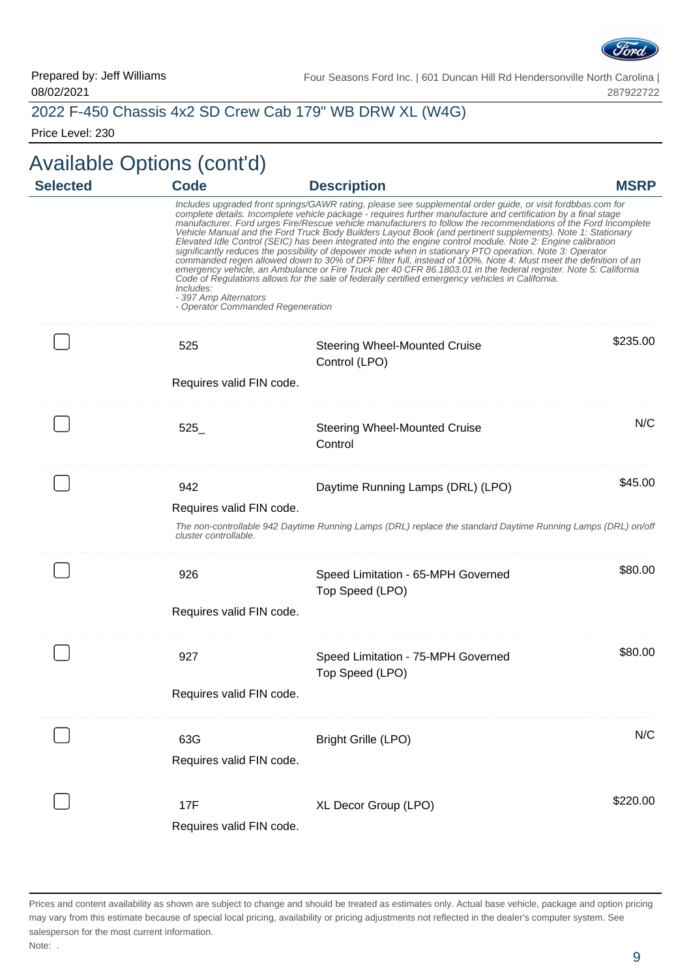

#### 2022 F-450 Chassis 4x2 SD Crew Cab 179" WB DRW XL (W4G)

Price Level: 230

# Available Options (cont'd)

| <b>Selected</b> | <b>Code</b>                                                             | <b>Description</b>                                                                                                                                                                                                                                                                                                                                                                                                                                                                                                                                                                                                                                                                                                                                                                                                                                                                                                                                                                                                                   | <b>MSRP</b> |
|-----------------|-------------------------------------------------------------------------|--------------------------------------------------------------------------------------------------------------------------------------------------------------------------------------------------------------------------------------------------------------------------------------------------------------------------------------------------------------------------------------------------------------------------------------------------------------------------------------------------------------------------------------------------------------------------------------------------------------------------------------------------------------------------------------------------------------------------------------------------------------------------------------------------------------------------------------------------------------------------------------------------------------------------------------------------------------------------------------------------------------------------------------|-------------|
|                 | Includes:<br>- 397 Amp Alternators<br>- Operator Commanded Regeneration | Includes upgraded front springs/GAWR rating, please see supplemental order guide, or visit fordbbas.com for<br>complete details. Incomplete vehicle package - requires further manufacture and certification by a final stage<br>manufacturer. Ford urges Fire/Rescue vehicle manufacturers to follow the recommendations of the Ford Incomplete<br>Vehicle Manual and the Ford Truck Body Builders Layout Book (and pertinent supplements). Note 1: Stationary<br>Elevated Idle Control (SEIC) has been integrated into the engine control module. Note 2: Engine calibration<br>significantly reduces the possibility of depower mode when in stationary PTO operation. Note 3: Operator<br>commanded regen allowed down to 30% of DPF filter full, instead of 100%. Note 4: Must meet the definition of an<br>emergency vehicle, an Ambulance or Fire Truck per 40 CFR 86.1803.01 in the federal register. Note 5: California<br>Code of Regulations allows for the sale of federally certified emergency vehicles in California. |             |
|                 | 525                                                                     | <b>Steering Wheel-Mounted Cruise</b><br>Control (LPO)                                                                                                                                                                                                                                                                                                                                                                                                                                                                                                                                                                                                                                                                                                                                                                                                                                                                                                                                                                                | \$235.00    |
|                 | Requires valid FIN code.                                                |                                                                                                                                                                                                                                                                                                                                                                                                                                                                                                                                                                                                                                                                                                                                                                                                                                                                                                                                                                                                                                      |             |
|                 | 525                                                                     | <b>Steering Wheel-Mounted Cruise</b><br>Control                                                                                                                                                                                                                                                                                                                                                                                                                                                                                                                                                                                                                                                                                                                                                                                                                                                                                                                                                                                      | N/C         |
|                 | 942<br>Requires valid FIN code.<br>cluster controllable.                | Daytime Running Lamps (DRL) (LPO)<br>The non-controllable 942 Daytime Running Lamps (DRL) replace the standard Daytime Running Lamps (DRL) on/off                                                                                                                                                                                                                                                                                                                                                                                                                                                                                                                                                                                                                                                                                                                                                                                                                                                                                    | \$45.00     |
|                 | 926<br>Requires valid FIN code.                                         | Speed Limitation - 65-MPH Governed<br>Top Speed (LPO)                                                                                                                                                                                                                                                                                                                                                                                                                                                                                                                                                                                                                                                                                                                                                                                                                                                                                                                                                                                | \$80.00     |
|                 | 927<br>Requires valid FIN code.                                         | Speed Limitation - 75-MPH Governed<br>Top Speed (LPO)                                                                                                                                                                                                                                                                                                                                                                                                                                                                                                                                                                                                                                                                                                                                                                                                                                                                                                                                                                                | \$80.00     |
|                 | 63G<br>Requires valid FIN code.                                         | <b>Bright Grille (LPO)</b>                                                                                                                                                                                                                                                                                                                                                                                                                                                                                                                                                                                                                                                                                                                                                                                                                                                                                                                                                                                                           | N/C         |
|                 | 17F<br>Requires valid FIN code.                                         | XL Decor Group (LPO)                                                                                                                                                                                                                                                                                                                                                                                                                                                                                                                                                                                                                                                                                                                                                                                                                                                                                                                                                                                                                 | \$220.00    |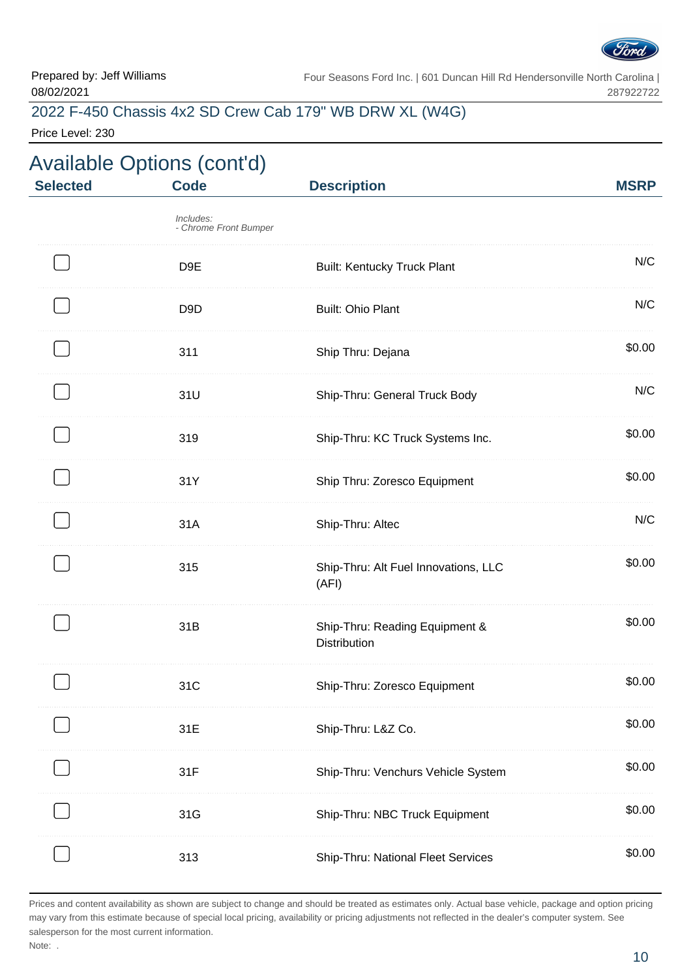

### 2022 F-450 Chassis 4x2 SD Crew Cab 179" WB DRW XL (W4G)

Price Level: 230

| <b>Selected</b> | <b>Available Options (cont'd)</b><br><b>Code</b> | <b>Description</b>                                    | <b>MSRP</b> |
|-----------------|--------------------------------------------------|-------------------------------------------------------|-------------|
|                 | Includes:<br>- Chrome Front Bumper               |                                                       |             |
|                 | D <sub>9E</sub>                                  | <b>Built: Kentucky Truck Plant</b>                    | N/C         |
|                 | D <sub>9</sub> D                                 | <b>Built: Ohio Plant</b>                              | N/C         |
|                 | 311                                              | Ship Thru: Dejana                                     | \$0.00      |
|                 | 31U                                              | Ship-Thru: General Truck Body                         | N/C         |
|                 | 319                                              | Ship-Thru: KC Truck Systems Inc.                      | \$0.00      |
|                 | 31Y                                              | Ship Thru: Zoresco Equipment                          | \$0.00      |
|                 | 31A                                              | Ship-Thru: Altec                                      | N/C         |
|                 | 315                                              | Ship-Thru: Alt Fuel Innovations, LLC<br>(AFI)         | \$0.00      |
|                 | 31B                                              | Ship-Thru: Reading Equipment &<br><b>Distribution</b> | \$0.00      |
|                 | 31C                                              | Ship-Thru: Zoresco Equipment                          | \$0.00      |
|                 | 31E                                              | Ship-Thru: L&Z Co.                                    | \$0.00      |
|                 | 31F                                              | Ship-Thru: Venchurs Vehicle System                    | \$0.00      |
|                 | 31G                                              | Ship-Thru: NBC Truck Equipment                        | \$0.00      |
|                 | 313                                              | Ship-Thru: National Fleet Services                    | \$0.00      |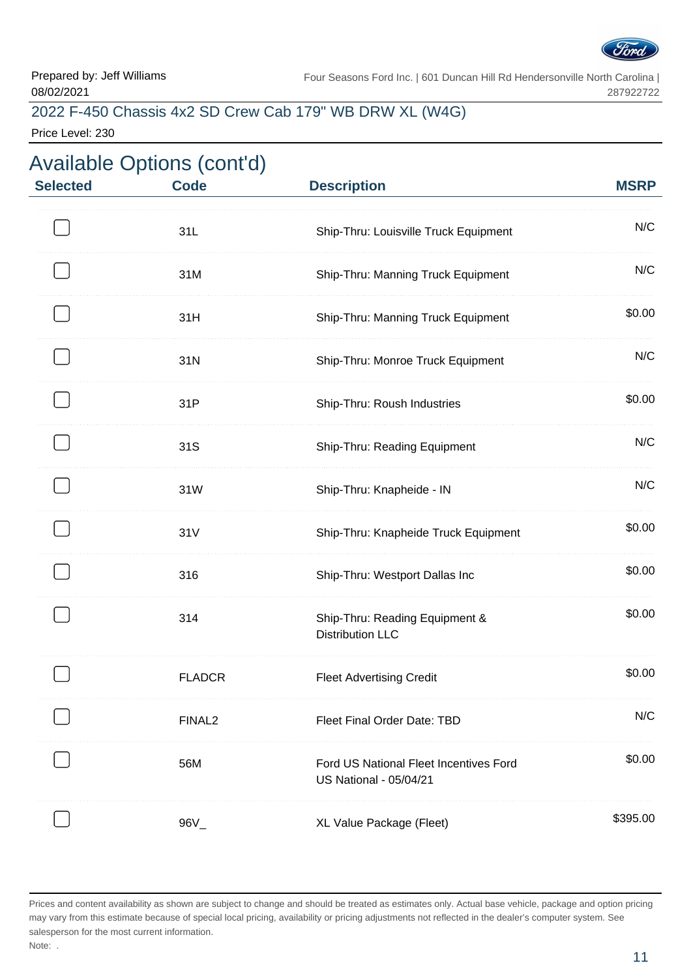

### 2022 F-450 Chassis 4x2 SD Crew Cab 179" WB DRW XL (W4G)

Price Level: 230

| <b>Selected</b> | <b>Available Options (cont'd)</b><br><b>Code</b> | <b>Description</b>                                                      | <b>MSRP</b> |
|-----------------|--------------------------------------------------|-------------------------------------------------------------------------|-------------|
|                 | 31L                                              | Ship-Thru: Louisville Truck Equipment                                   | N/C         |
|                 | 31M                                              | Ship-Thru: Manning Truck Equipment                                      | N/C         |
|                 | 31H                                              | Ship-Thru: Manning Truck Equipment                                      | \$0.00      |
|                 | 31N                                              | Ship-Thru: Monroe Truck Equipment                                       | N/C         |
|                 | 31P                                              | Ship-Thru: Roush Industries                                             | \$0.00      |
|                 | 31S                                              | Ship-Thru: Reading Equipment                                            | N/C         |
|                 | 31W                                              | Ship-Thru: Knapheide - IN                                               | N/C         |
|                 | 31V                                              | Ship-Thru: Knapheide Truck Equipment                                    | \$0.00      |
|                 | 316                                              | Ship-Thru: Westport Dallas Inc                                          | \$0.00      |
|                 | 314                                              | Ship-Thru: Reading Equipment &<br><b>Distribution LLC</b>               | \$0.00      |
|                 | <b>FLADCR</b>                                    | <b>Fleet Advertising Credit</b>                                         | \$0.00      |
|                 | FINAL <sub>2</sub>                               | Fleet Final Order Date: TBD                                             | N/C         |
|                 | 56M                                              | Ford US National Fleet Incentives Ford<br><b>US National - 05/04/21</b> | \$0.00      |
|                 | $96V_{-}$                                        | XL Value Package (Fleet)                                                | \$395.00    |